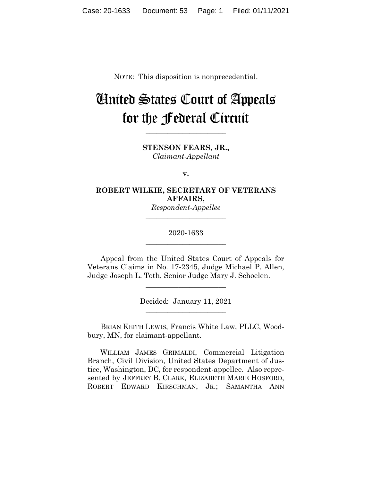NOTE: This disposition is nonprecedential.

# United States Court of Appeals for the Federal Circuit

**\_\_\_\_\_\_\_\_\_\_\_\_\_\_\_\_\_\_\_\_\_\_**

**STENSON FEARS, JR.,** *Claimant-Appellant*

**v.**

## **ROBERT WILKIE, SECRETARY OF VETERANS AFFAIRS,**

*Respondent-Appellee* **\_\_\_\_\_\_\_\_\_\_\_\_\_\_\_\_\_\_\_\_\_\_**

### 2020-1633 **\_\_\_\_\_\_\_\_\_\_\_\_\_\_\_\_\_\_\_\_\_\_**

Appeal from the United States Court of Appeals for Veterans Claims in No. 17-2345, Judge Michael P. Allen, Judge Joseph L. Toth, Senior Judge Mary J. Schoelen.

> Decided: January 11, 2021  $\overline{\phantom{a}}$  , where  $\overline{\phantom{a}}$  , where  $\overline{\phantom{a}}$  , where  $\overline{\phantom{a}}$

 $\overline{\phantom{a}}$  , where  $\overline{\phantom{a}}$  , where  $\overline{\phantom{a}}$  , where  $\overline{\phantom{a}}$ 

BRIAN KEITH LEWIS, Francis White Law, PLLC, Woodbury, MN, for claimant-appellant.

 WILLIAM JAMES GRIMALDI, Commercial Litigation Branch, Civil Division, United States Department of Justice, Washington, DC, for respondent-appellee. Also represented by JEFFREY B. CLARK, ELIZABETH MARIE HOSFORD, ROBERT EDWARD KIRSCHMAN, JR.; SAMANTHA ANN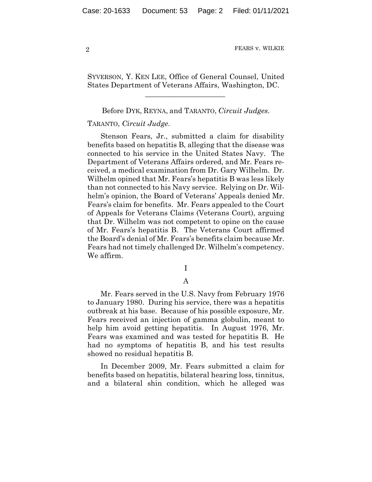SYVERSON, Y. KEN LEE, Office of General Counsel, United States Department of Veterans Affairs, Washington, DC.

 $\mathcal{L}_\text{max}$  and  $\mathcal{L}_\text{max}$  and  $\mathcal{L}_\text{max}$  and  $\mathcal{L}_\text{max}$ 

Before DYK, REYNA, and TARANTO, *Circuit Judges*.

#### TARANTO, *Circuit Judge*.

Stenson Fears, Jr., submitted a claim for disability benefits based on hepatitis B, alleging that the disease was connected to his service in the United States Navy. The Department of Veterans Affairs ordered, and Mr. Fears received, a medical examination from Dr. Gary Wilhelm. Dr. Wilhelm opined that Mr. Fears's hepatitis B was less likely than not connected to his Navy service. Relying on Dr. Wilhelm's opinion, the Board of Veterans' Appeals denied Mr. Fears's claim for benefits. Mr. Fears appealed to the Court of Appeals for Veterans Claims (Veterans Court), arguing that Dr. Wilhelm was not competent to opine on the cause of Mr. Fears's hepatitis B. The Veterans Court affirmed the Board's denial of Mr. Fears's benefits claim because Mr. Fears had not timely challenged Dr. Wilhelm's competency. We affirm.

I

A

Mr. Fears served in the U.S. Navy from February 1976 to January 1980. During his service, there was a hepatitis outbreak at his base. Because of his possible exposure, Mr. Fears received an injection of gamma globulin, meant to help him avoid getting hepatitis. In August 1976, Mr. Fears was examined and was tested for hepatitis B. He had no symptoms of hepatitis B, and his test results showed no residual hepatitis B.

In December 2009, Mr. Fears submitted a claim for benefits based on hepatitis, bilateral hearing loss, tinnitus, and a bilateral shin condition, which he alleged was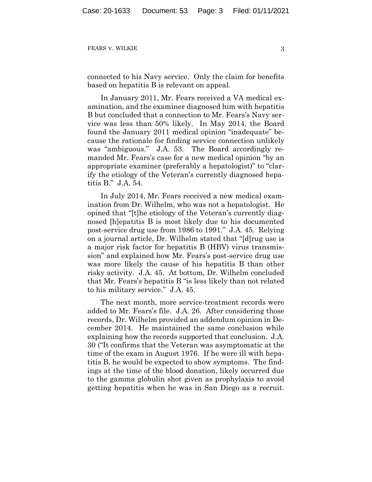connected to his Navy service. Only the claim for benefits based on hepatitis B is relevant on appeal.

In January 2011, Mr. Fears received a VA medical examination, and the examiner diagnosed him with hepatitis B but concluded that a connection to Mr. Fears's Navy service was less than 50% likely. In May 2014, the Board found the January 2011 medical opinion "inadequate" because the rationale for finding service connection unlikely was "ambiguous." J.A. 53. The Board accordingly remanded Mr. Fears's case for a new medical opinion "by an appropriate examiner (preferably a hepatologist)" to "clarify the etiology of the Veteran's currently diagnosed hepatitis B." J.A. 54.

In July 2014, Mr. Fears received a new medical examination from Dr. Wilhelm, who was not a hepatologist. He opined that "[t]he etiology of the Veteran's currently diagnosed [h]epatitis B is most likely due to his documented post-service drug use from 1986 to 1991." J.A. 45. Relying on a journal article, Dr. Wilhelm stated that "[d]rug use is a major risk factor for hepatitis B (HBV) virus transmission" and explained how Mr. Fears's post-service drug use was more likely the cause of his hepatitis B than other risky activity. J.A. 45. At bottom, Dr. Wilhelm concluded that Mr. Fears's hepatitis B "is less likely than not related to his military service." J.A. 45.

The next month, more service-treatment records were added to Mr. Fears's file. J.A. 26. After considering those records, Dr. Wilhelm provided an addendum opinion in December 2014. He maintained the same conclusion while explaining how the records supported that conclusion. J.A. 30 ("It confirms that the Veteran was asymptomatic at the time of the exam in August 1976. If he were ill with hepatitis B, he would be expected to show symptoms. The findings at the time of the blood donation, likely occurred due to the gamma globulin shot given as prophylaxis to avoid getting hepatitis when he was in San Diego as a recruit.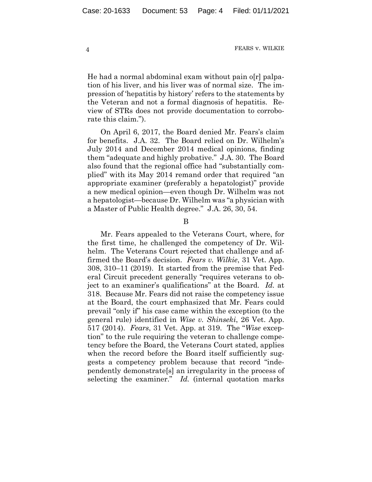He had a normal abdominal exam without pain o[r] palpation of his liver, and his liver was of normal size. The impression of 'hepatitis by history' refers to the statements by the Veteran and not a formal diagnosis of hepatitis. Review of STRs does not provide documentation to corroborate this claim.").

On April 6, 2017, the Board denied Mr. Fears's claim for benefits. J.A. 32. The Board relied on Dr. Wilhelm's July 2014 and December 2014 medical opinions, finding them "adequate and highly probative." J.A. 30. The Board also found that the regional office had "substantially complied" with its May 2014 remand order that required "an appropriate examiner (preferably a hepatologist)" provide a new medical opinion—even though Dr. Wilhelm was not a hepatologist—because Dr. Wilhelm was "a physician with a Master of Public Health degree." J.A. 26, 30, 54.

B

Mr. Fears appealed to the Veterans Court, where, for the first time, he challenged the competency of Dr. Wilhelm. The Veterans Court rejected that challenge and affirmed the Board's decision. *Fears v. Wilkie*, 31 Vet. App. 308, 310–11 (2019). It started from the premise that Federal Circuit precedent generally "requires veterans to object to an examiner's qualifications" at the Board. *Id.* at 318. Because Mr. Fears did not raise the competency issue at the Board, the court emphasized that Mr. Fears could prevail "only if" his case came within the exception (to the general rule) identified in *Wise v. Shinseki*, 26 Vet. App. 517 (2014). *Fears*, 31 Vet. App. at 319. The "*Wise* exception" to the rule requiring the veteran to challenge competency before the Board, the Veterans Court stated, applies when the record before the Board itself sufficiently suggests a competency problem because that record "independently demonstrate[s] an irregularity in the process of selecting the examiner." *Id.* (internal quotation marks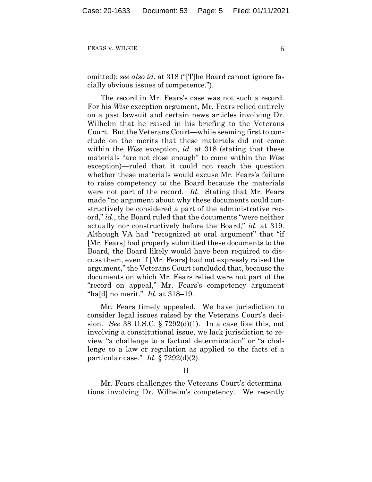omitted); *see also id.* at 318 ("[T]he Board cannot ignore facially obvious issues of competence.").

The record in Mr. Fears's case was not such a record. For his *Wise* exception argument, Mr. Fears relied entirely on a past lawsuit and certain news articles involving Dr. Wilhelm that he raised in his briefing to the Veterans Court. But the Veterans Court—while seeming first to conclude on the merits that these materials did not come within the *Wise* exception, *id.* at 318 (stating that these materials "are not close enough" to come within the *Wise*  exception)—ruled that it could not reach the question whether these materials would excuse Mr. Fears's failure to raise competency to the Board because the materials were not part of the record. *Id.* Stating that Mr. Fears made "no argument about why these documents could constructively be considered a part of the administrative record," *id.*, the Board ruled that the documents "were neither actually nor constructively before the Board," *id.* at 319. Although VA had "recognized at oral argument" that "if [Mr. Fears] had properly submitted these documents to the Board, the Board likely would have been required to discuss them, even if [Mr. Fears] had not expressly raised the argument," the Veterans Court concluded that, because the documents on which Mr. Fears relied were not part of the "record on appeal," Mr. Fears's competency argument "ha[d] no merit." *Id.* at 318–19.

Mr. Fears timely appealed. We have jurisdiction to consider legal issues raised by the Veterans Court's decision. *See* 38 U.S.C. § 7292(d)(1). In a case like this, not involving a constitutional issue, we lack jurisdiction to review "a challenge to a factual determination" or "a challenge to a law or regulation as applied to the facts of a particular case." *Id.* § 7292(d)(2).

II

Mr. Fears challenges the Veterans Court's determinations involving Dr. Wilhelm's competency. We recently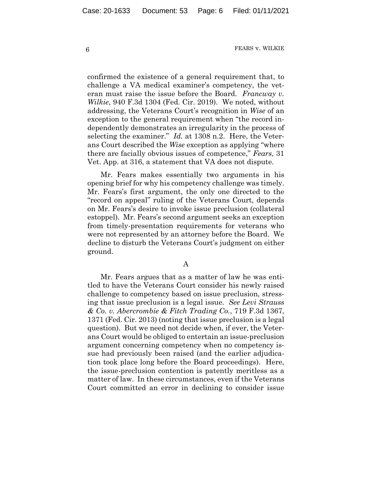confirmed the existence of a general requirement that, to challenge a VA medical examiner's competency, the veteran must raise the issue before the Board. *Francway v. Wilkie*, 940 F.3d 1304 (Fed. Cir. 2019). We noted, without addressing, the Veterans Court's recognition in *Wise* of an exception to the general requirement when "the record independently demonstrates an irregularity in the process of selecting the examiner." *Id.* at 1308 n.2. Here, the Veterans Court described the *Wise* exception as applying "where there are facially obvious issues of competence," *Fears*, 31 Vet. App. at 316, a statement that VA does not dispute.

Mr. Fears makes essentially two arguments in his opening brief for why his competency challenge was timely. Mr. Fears's first argument, the only one directed to the "record on appeal" ruling of the Veterans Court, depends on Mr. Fears's desire to invoke issue preclusion (collateral estoppel). Mr. Fears's second argument seeks an exception from timely-presentation requirements for veterans who were not represented by an attorney before the Board. We decline to disturb the Veterans Court's judgment on either ground.

#### A

Mr. Fears argues that as a matter of law he was entitled to have the Veterans Court consider his newly raised challenge to competency based on issue preclusion, stressing that issue preclusion is a legal issue. *See Levi Strauss & Co. v. Abercrombie & Fitch Trading Co.*, 719 F.3d 1367, 1371 (Fed. Cir. 2013) (noting that issue preclusion is a legal question). But we need not decide when, if ever, the Veterans Court would be obliged to entertain an issue-preclusion argument concerning competency when no competency issue had previously been raised (and the earlier adjudication took place long before the Board proceedings). Here, the issue-preclusion contention is patently meritless as a matter of law. In these circumstances, even if the Veterans Court committed an error in declining to consider issue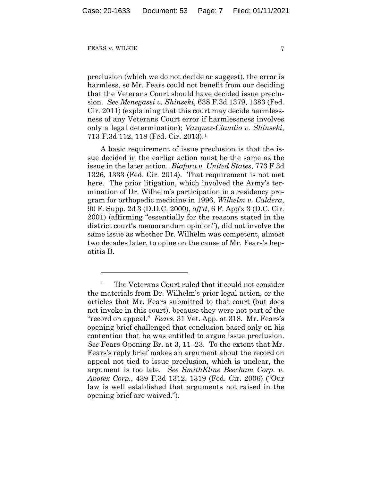preclusion (which we do not decide or suggest), the error is harmless, so Mr. Fears could not benefit from our deciding that the Veterans Court should have decided issue preclusion. *See Menegassi v. Shinseki*, 638 F.3d 1379, 1383 (Fed. Cir. 2011) (explaining that this court may decide harmlessness of any Veterans Court error if harmlessness involves only a legal determination); *Vazquez-Claudio v. Shinseki*, 713 F.3d 112, 118 (Fed. Cir. 2013).1

A basic requirement of issue preclusion is that the issue decided in the earlier action must be the same as the issue in the later action. *Biafora v. United States*, 773 F.3d 1326, 1333 (Fed. Cir. 2014). That requirement is not met here. The prior litigation, which involved the Army's termination of Dr. Wilhelm's participation in a residency program for orthopedic medicine in 1996, *Wilhelm v. Caldera*, 90 F. Supp. 2d 3 (D.D.C. 2000), *aff'd*, 6 F. App'x 3 (D.C. Cir. 2001) (affirming "essentially for the reasons stated in the district court's memorandum opinion"), did not involve the same issue as whether Dr. Wilhelm was competent, almost two decades later, to opine on the cause of Mr. Fears's hepatitis B.

<sup>&</sup>lt;sup>1</sup> The Veterans Court ruled that it could not consider the materials from Dr. Wilhelm's prior legal action, or the articles that Mr. Fears submitted to that court (but does not invoke in this court), because they were not part of the "record on appeal." *Fears*, 31 Vet. App. at 318. Mr. Fears's opening brief challenged that conclusion based only on his contention that he was entitled to argue issue preclusion. *See* Fears Opening Br. at 3, 11–23. To the extent that Mr. Fears's reply brief makes an argument about the record on appeal not tied to issue preclusion, which is unclear, the argument is too late. *See SmithKline Beecham Corp. v. Apotex Corp.*, 439 F.3d 1312, 1319 (Fed. Cir. 2006) ("Our law is well established that arguments not raised in the opening brief are waived.").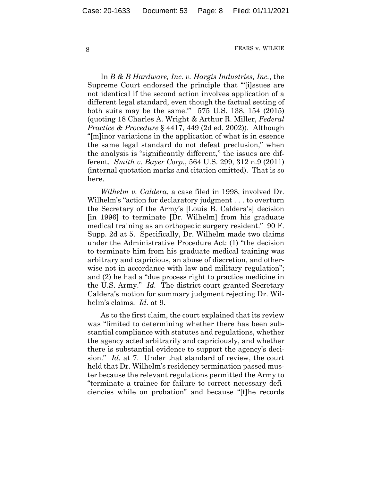In *B & B Hardware, Inc. v. Hargis Industries, Inc.*, the Supreme Court endorsed the principle that "'[i]ssues are not identical if the second action involves application of a different legal standard, even though the factual setting of both suits may be the same.'" 575 U.S. 138, 154 (2015) (quoting 18 Charles A. Wright & Arthur R. Miller, *Federal Practice & Procedure* § 4417, 449 (2d ed. 2002)). Although "[m]inor variations in the application of what is in essence the same legal standard do not defeat preclusion," when the analysis is "significantly different," the issues are different. *Smith v. Bayer Corp.*, 564 U.S. 299, 312 n.9 (2011) (internal quotation marks and citation omitted). That is so here.

*Wilhelm v. Caldera*, a case filed in 1998, involved Dr. Wilhelm's "action for declaratory judgment . . . to overturn the Secretary of the Army's [Louis B. Caldera's] decision [in 1996] to terminate [Dr. Wilhelm] from his graduate medical training as an orthopedic surgery resident." 90 F. Supp. 2d at 5. Specifically, Dr. Wilhelm made two claims under the Administrative Procedure Act: (1) "the decision to terminate him from his graduate medical training was arbitrary and capricious, an abuse of discretion, and otherwise not in accordance with law and military regulation"; and (2) he had a "due process right to practice medicine in the U.S. Army." *Id.* The district court granted Secretary Caldera's motion for summary judgment rejecting Dr. Wilhelm's claims. *Id.* at 9.

As to the first claim, the court explained that its review was "limited to determining whether there has been substantial compliance with statutes and regulations, whether the agency acted arbitrarily and capriciously, and whether there is substantial evidence to support the agency's decision." *Id.* at 7. Under that standard of review, the court held that Dr. Wilhelm's residency termination passed muster because the relevant regulations permitted the Army to "terminate a trainee for failure to correct necessary deficiencies while on probation" and because "[t]he records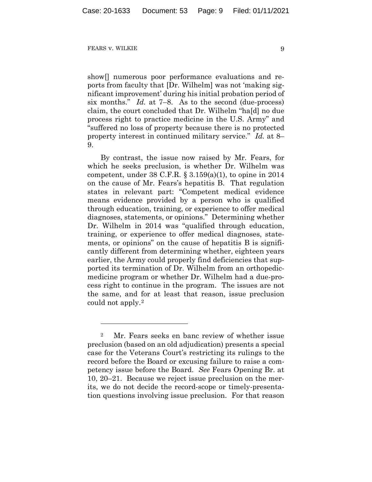show[] numerous poor performance evaluations and reports from faculty that [Dr. Wilhelm] was not 'making significant improvement' during his initial probation period of six months." *Id.* at 7–8. As to the second (due-process) claim, the court concluded that Dr. Wilhelm "ha[d] no due process right to practice medicine in the U.S. Army" and "suffered no loss of property because there is no protected property interest in continued military service." *Id.* at 8– 9.

By contrast, the issue now raised by Mr. Fears, for which he seeks preclusion, is whether Dr. Wilhelm was competent, under  $38$  C.F.R. §  $3.159(a)(1)$ , to opine in  $2014$ on the cause of Mr. Fears's hepatitis B. That regulation states in relevant part: "Competent medical evidence means evidence provided by a person who is qualified through education, training, or experience to offer medical diagnoses, statements, or opinions." Determining whether Dr. Wilhelm in 2014 was "qualified through education, training, or experience to offer medical diagnoses, statements, or opinions" on the cause of hepatitis B is significantly different from determining whether, eighteen years earlier, the Army could properly find deficiencies that supported its termination of Dr. Wilhelm from an orthopedicmedicine program or whether Dr. Wilhelm had a due-process right to continue in the program. The issues are not the same, and for at least that reason, issue preclusion could not apply.2

<sup>2</sup> Mr. Fears seeks en banc review of whether issue preclusion (based on an old adjudication) presents a special case for the Veterans Court's restricting its rulings to the record before the Board or excusing failure to raise a competency issue before the Board. *See* Fears Opening Br. at 10, 20–21. Because we reject issue preclusion on the merits, we do not decide the record-scope or timely-presentation questions involving issue preclusion. For that reason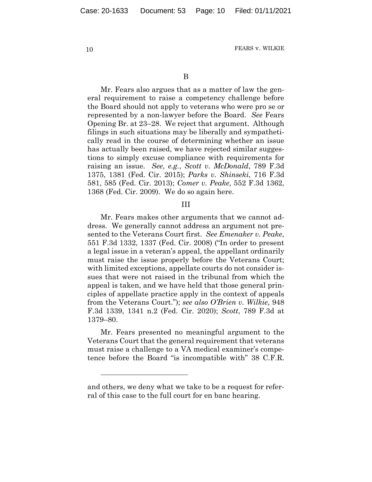B

Mr. Fears also argues that as a matter of law the general requirement to raise a competency challenge before the Board should not apply to veterans who were pro se or represented by a non-lawyer before the Board. *See* Fears Opening Br. at 23–28. We reject that argument. Although filings in such situations may be liberally and sympathetically read in the course of determining whether an issue has actually been raised, we have rejected similar suggestions to simply excuse compliance with requirements for raising an issue. *See*, *e.g.*, *Scott v. McDonald*, 789 F.3d 1375, 1381 (Fed. Cir. 2015); *Parks v. Shinseki*, 716 F.3d 581, 585 (Fed. Cir. 2013); *Comer v. Peake*, 552 F.3d 1362, 1368 (Fed. Cir. 2009). We do so again here.

#### III

Mr. Fears makes other arguments that we cannot address. We generally cannot address an argument not presented to the Veterans Court first. *See Emenaker v. Peake*, 551 F.3d 1332, 1337 (Fed. Cir. 2008) ("In order to present a legal issue in a veteran's appeal, the appellant ordinarily must raise the issue properly before the Veterans Court; with limited exceptions, appellate courts do not consider issues that were not raised in the tribunal from which the appeal is taken, and we have held that those general principles of appellate practice apply in the context of appeals from the Veterans Court."); *see also O'Brien v. Wilkie*, 948 F.3d 1339, 1341 n.2 (Fed. Cir. 2020); *Scott*, 789 F.3d at 1379–80.

Mr. Fears presented no meaningful argument to the Veterans Court that the general requirement that veterans must raise a challenge to a VA medical examiner's competence before the Board "is incompatible with" 38 C.F.R.

and others, we deny what we take to be a request for referral of this case to the full court for en banc hearing.